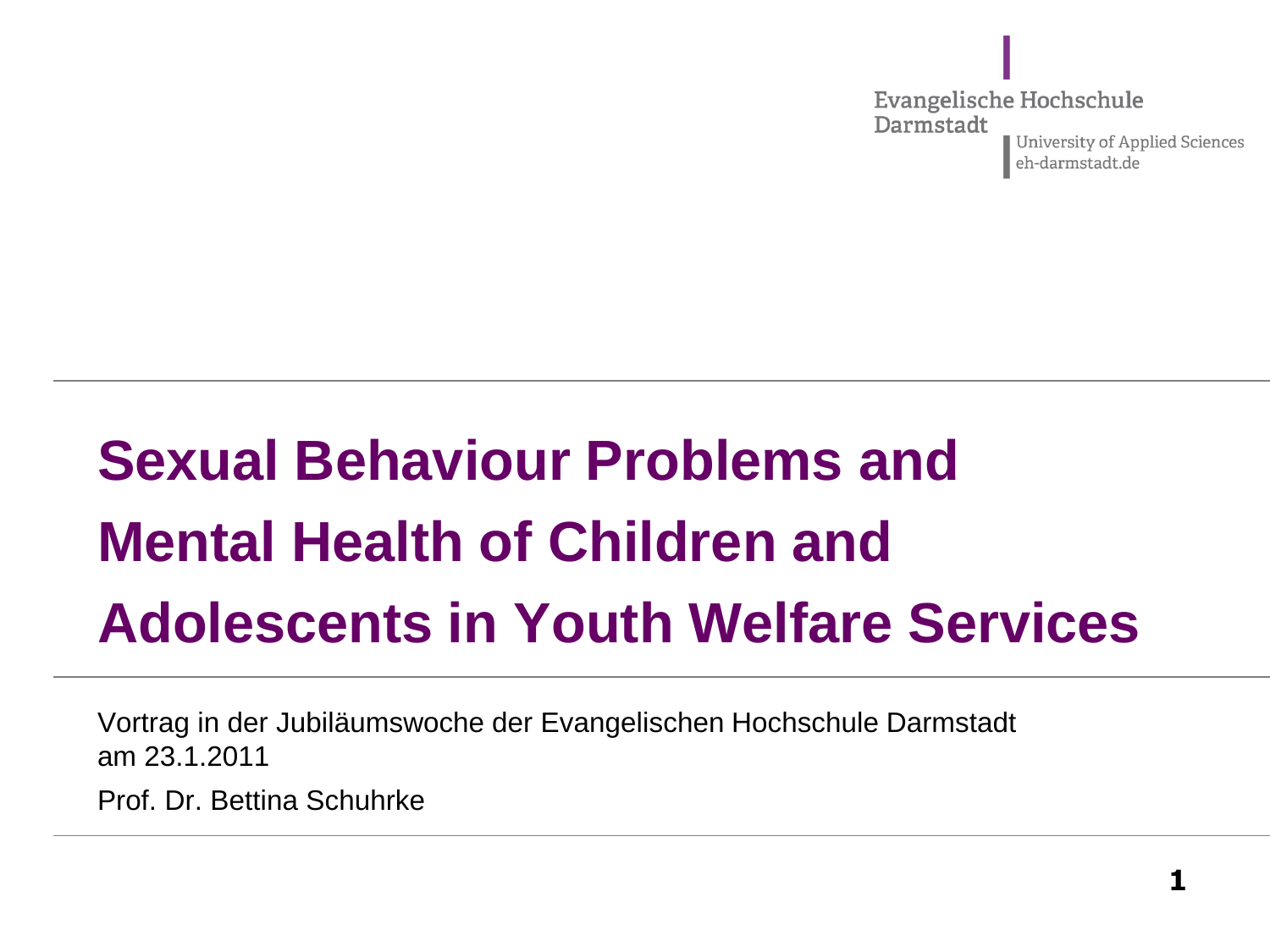**Evangelische Hochschule** Darmstadt University of Applied Sciences eh-darmstadt.de

# **Sexual Behaviour Problems and Mental Health of Children and Adolescents in Youth Welfare Services**

Vortrag in der Jubiläumswoche der Evangelischen Hochschule Darmstadt am 23.1.2011

Prof. Dr. Bettina Schuhrke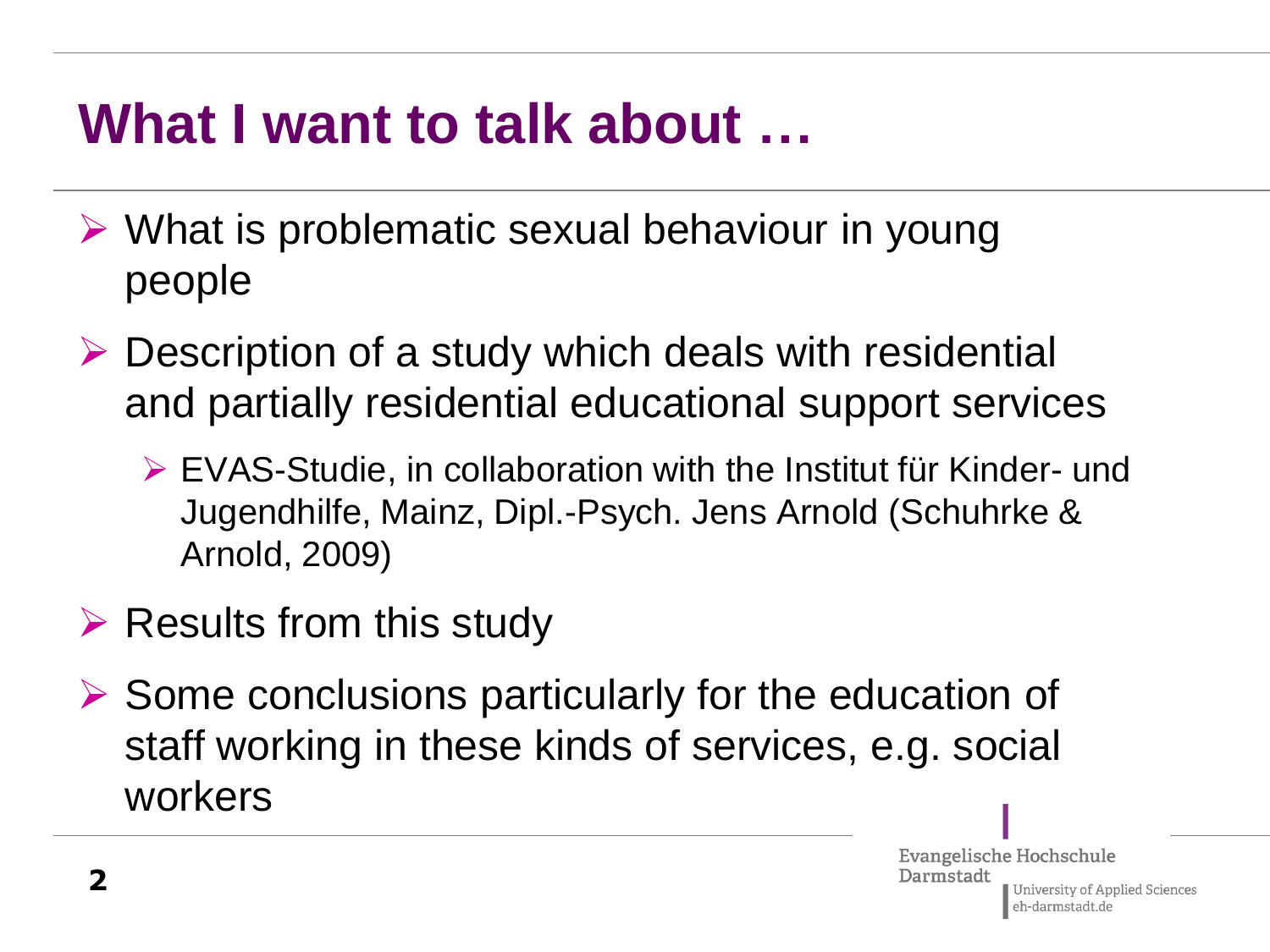#### **What I want to talk about …**

- $\triangleright$  What is problematic sexual behaviour in young people
- $\triangleright$  Description of a study which deals with residential and partially residential educational support services
	- EVAS-Studie, in collaboration with the Institut für Kinder- und Jugendhilfe, Mainz, Dipl.-Psych. Jens Arnold (Schuhrke & Arnold, 2009)
- $\triangleright$  Results from this study
- $\triangleright$  Some conclusions particularly for the education of staff working in these kinds of services, e.g. social workers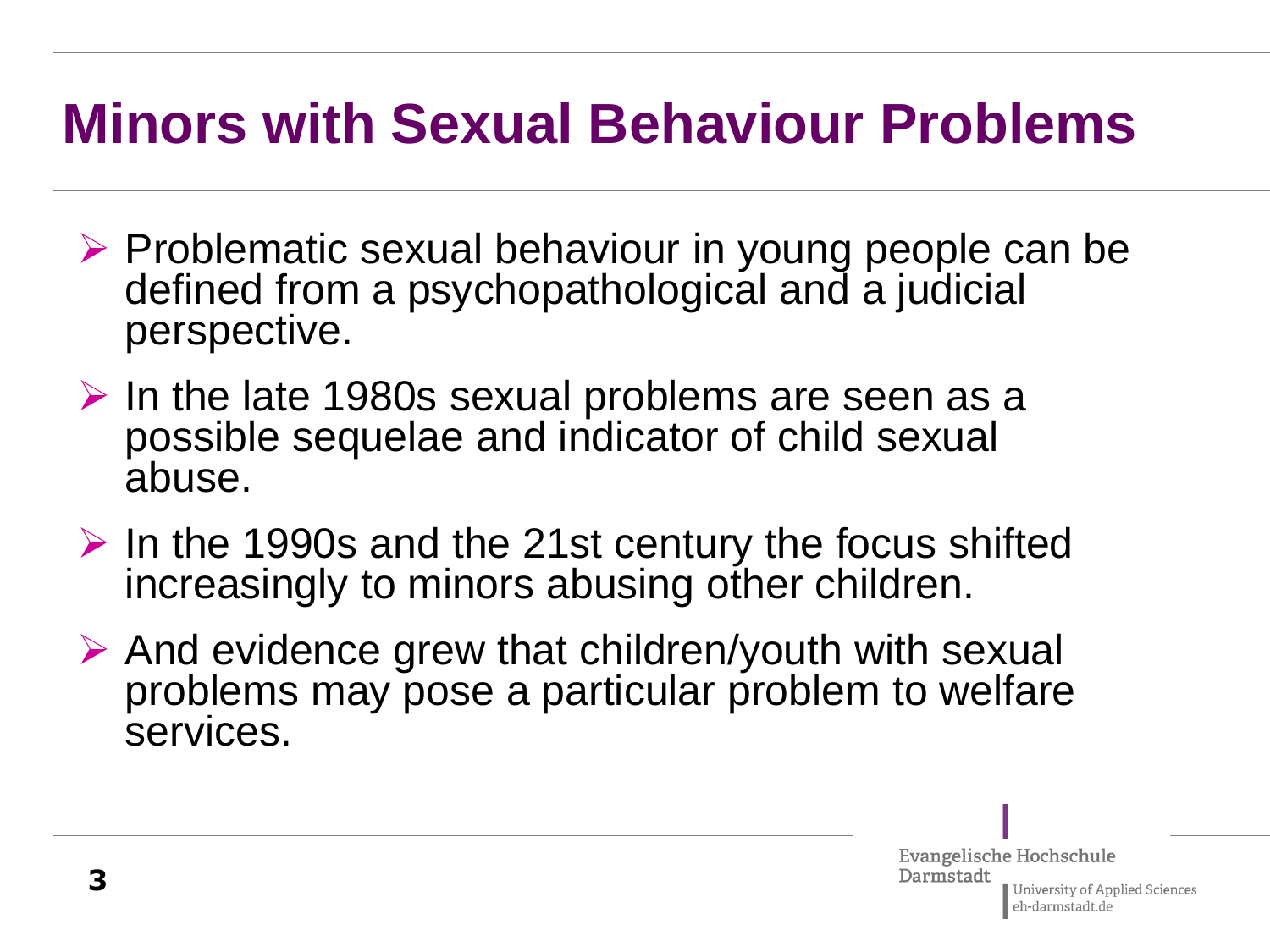#### **Minors with Sexual Behaviour Problems**

- $\triangleright$  Problematic sexual behaviour in young people can be defined from a psychopathological and a judicial perspective.
- $\triangleright$  In the late 1980s sexual problems are seen as a possible sequelae and indicator of child sexual abuse.
- $\triangleright$  In the 1990s and the 21st century the focus shifted increasingly to minors abusing other children.
- $\triangleright$  And evidence grew that children/youth with sexual problems may pose a particular problem to welfare services.

Evangelische Hochschule Darmstadt University of Applied Sciences eh-darmstadt.de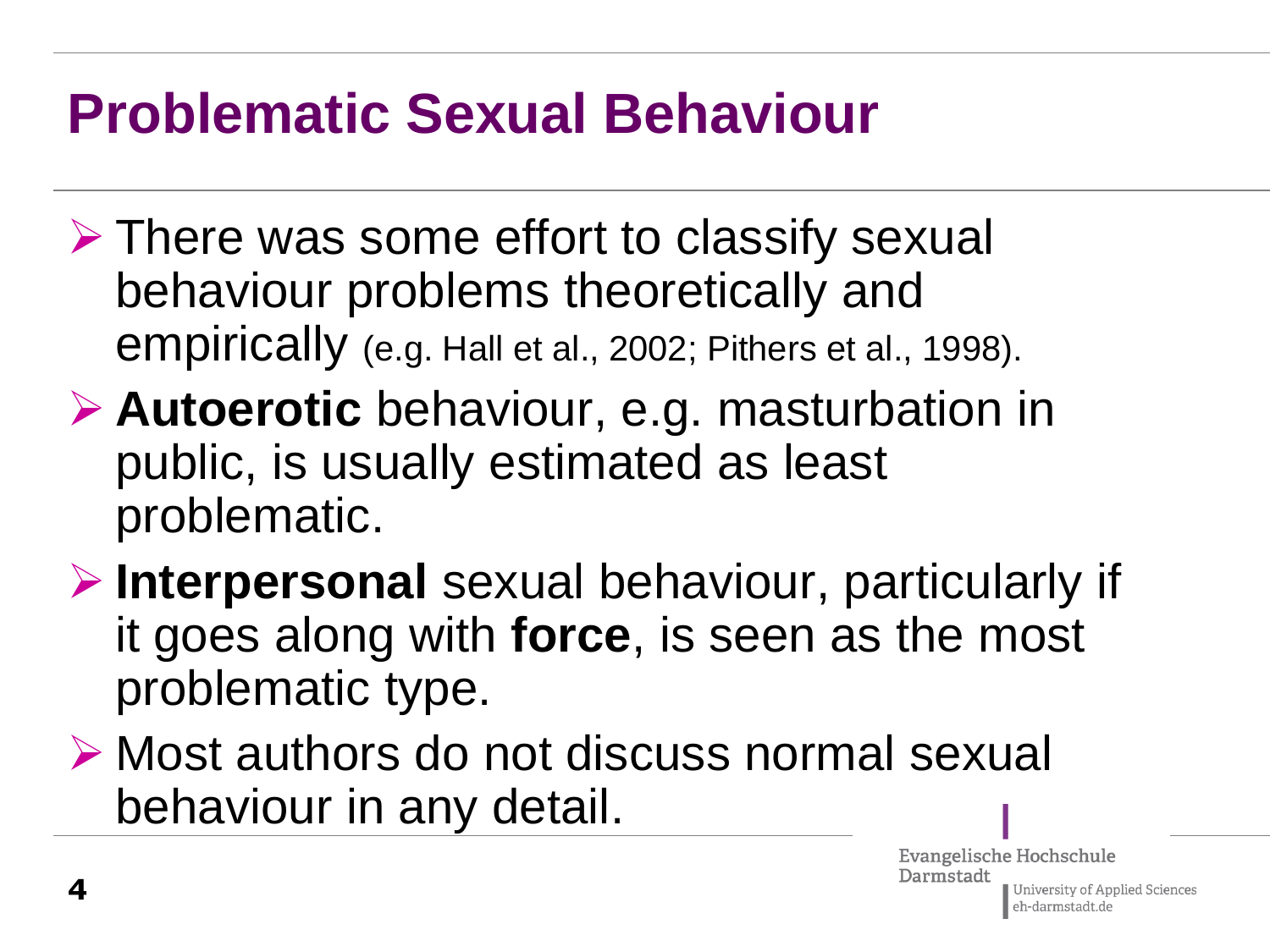### **Problematic Sexual Behaviour**

- $\triangleright$  There was some effort to classify sexual behaviour problems theoretically and empirically (e.g. Hall et al., 2002; Pithers et al., 1998).
- **Autoerotic** behaviour, e.g. masturbation in public, is usually estimated as least problematic.
- **Interpersonal** sexual behaviour, particularly if it goes along with **force**, is seen as the most problematic type.
- ▶ Most authors do not discuss normal sexual behaviour in any detail.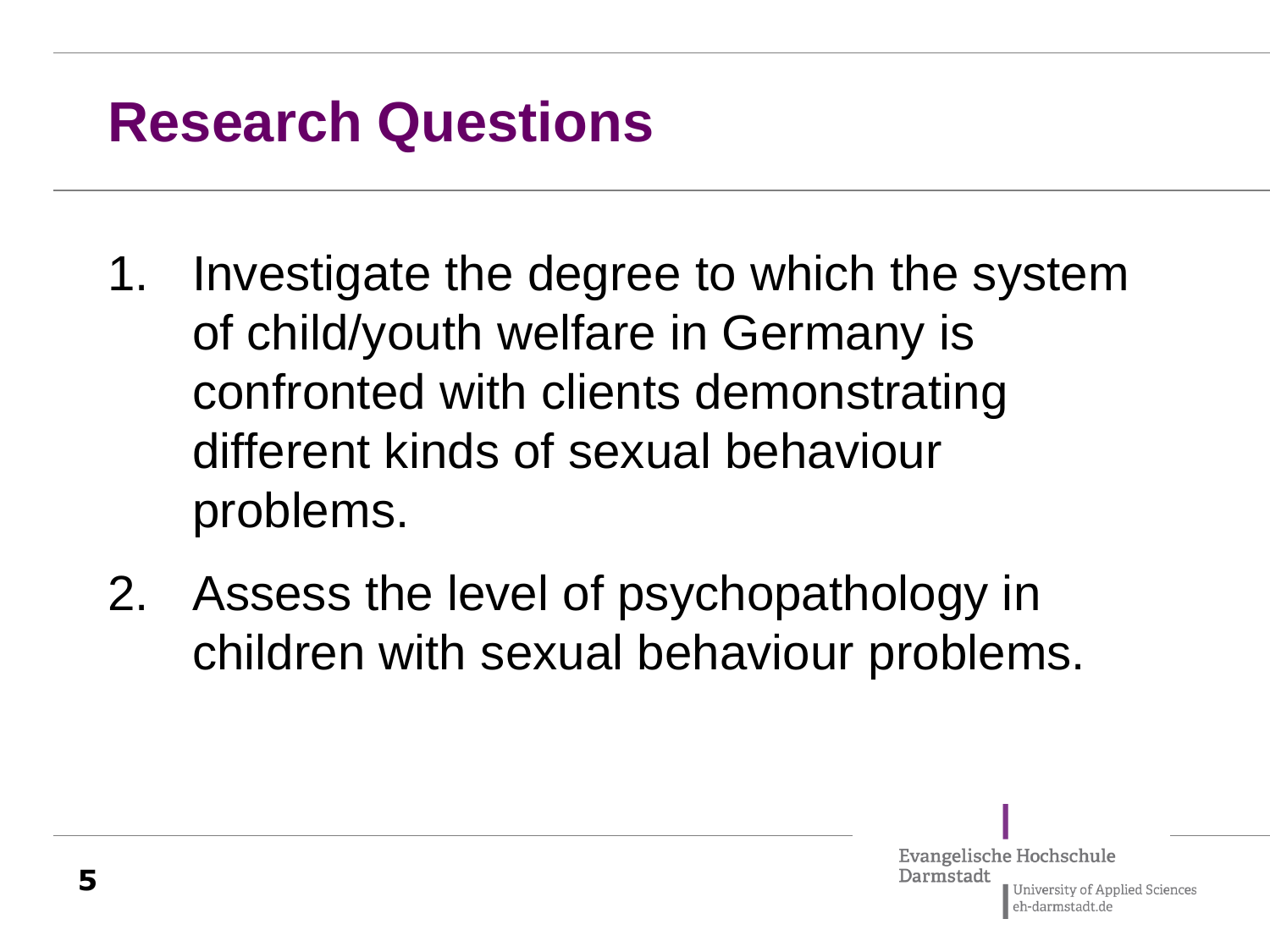#### **Research Questions**

- 1. Investigate the degree to which the system of child/youth welfare in Germany is confronted with clients demonstrating different kinds of sexual behaviour problems.
- 2. Assess the level of psychopathology in children with sexual behaviour problems.

Evangelische Hochschule Darmstadt University of Applied Sciences eh-darmstadt.de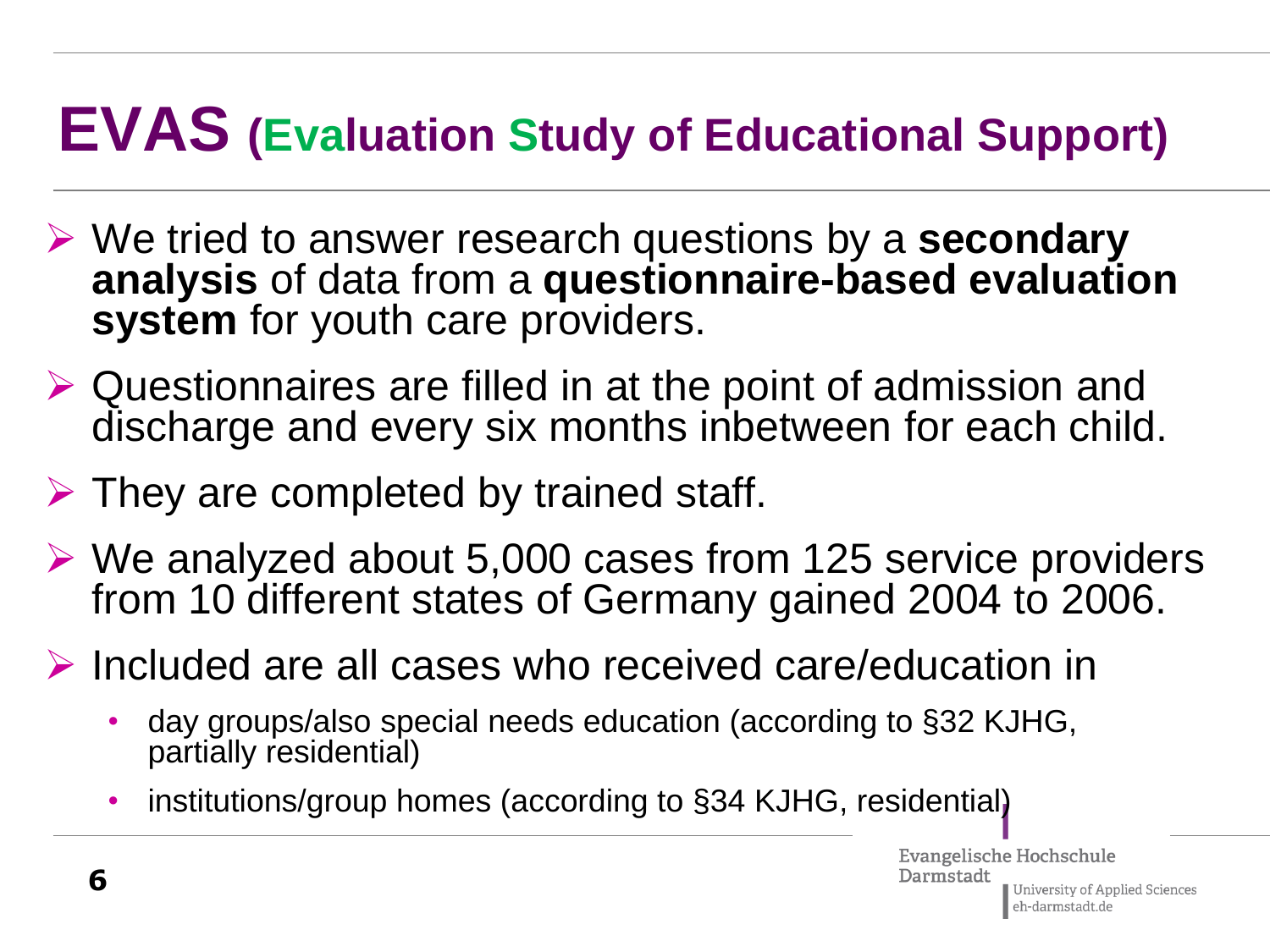### **EVAS (Evaluation Study of Educational Support)**

- We tried to answer research questions by a **secondary analysis** of data from a **questionnaire-based evaluation system** for youth care providers.
- $\triangleright$  Questionnaires are filled in at the point of admission and discharge and every six months inbetween for each child.
- $\triangleright$  They are completed by trained staff.
- $\triangleright$  We analyzed about 5,000 cases from 125 service providers from 10 different states of Germany gained 2004 to 2006.
- $\triangleright$  Included are all cases who received care/education in
	- day groups/also special needs education (according to §32 KJHG, partially residential)
	- institutions/group homes (according to §34 KJHG, residential)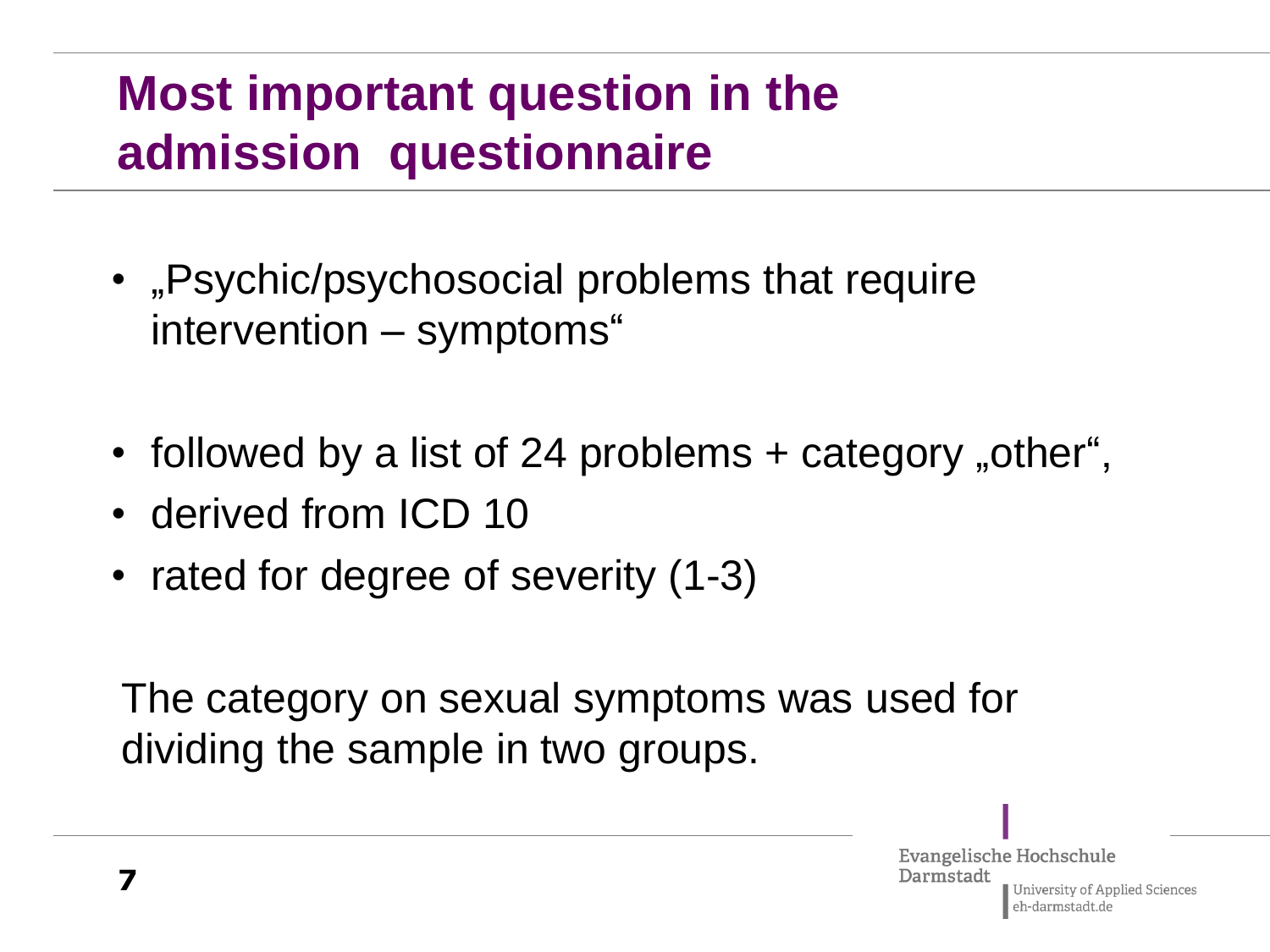#### **Most important question in the admission questionnaire**

- "Psychic/psychosocial problems that require intervention – symptoms"
- followed by a list of 24 problems + category "other",
- derived from ICD 10
- rated for degree of severity (1-3)

The category on sexual symptoms was used for dividing the sample in two groups.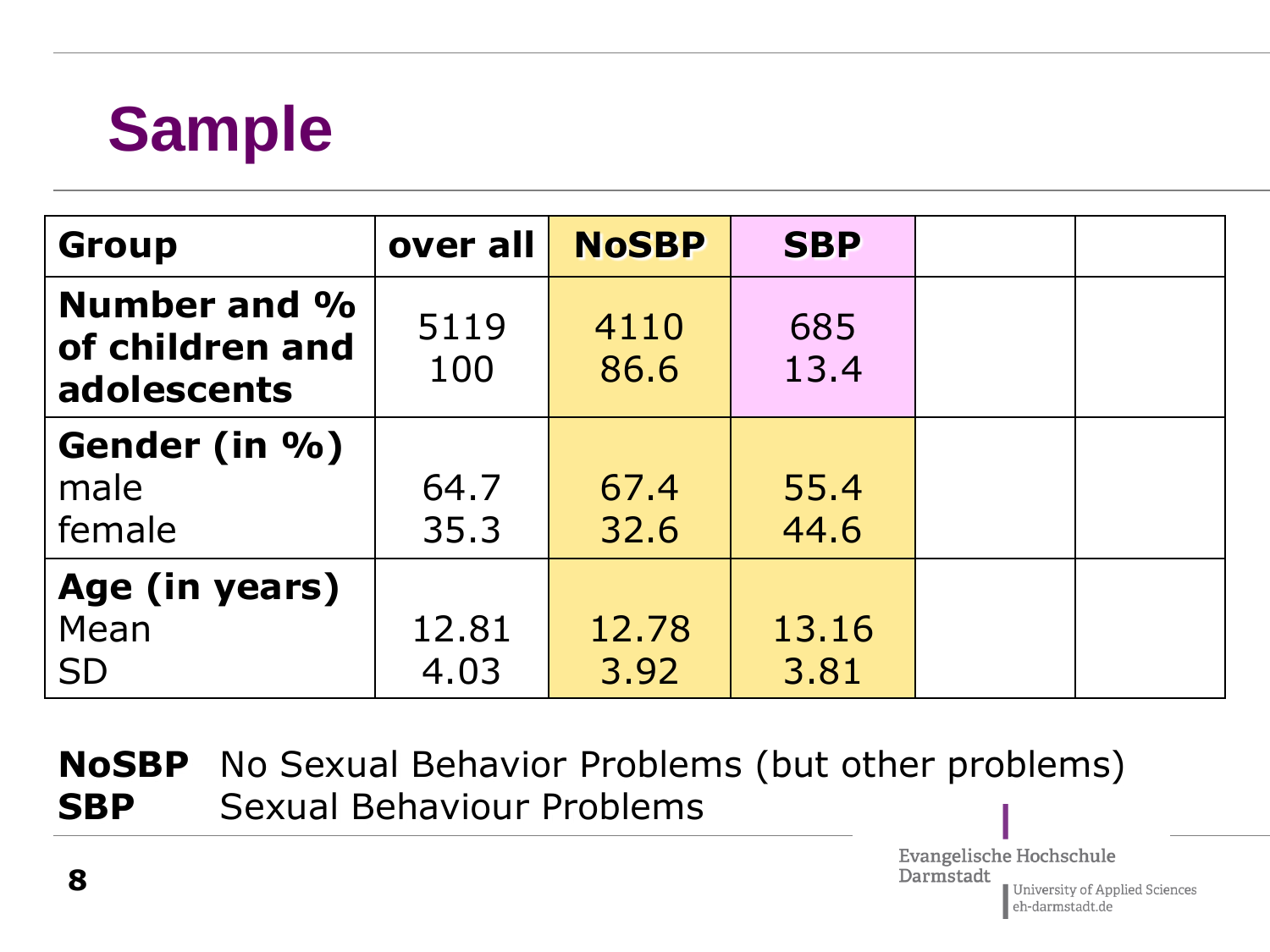## **Sample**

| <b>Group</b>                                   | over all    | <b>NoSBP</b> | <b>SBP</b>  |  |
|------------------------------------------------|-------------|--------------|-------------|--|
| Number and %<br>of children and<br>adolescents | 5119<br>100 | 4110<br>86.6 | 685<br>13.4 |  |
| Gender (in %)                                  |             |              |             |  |
| male                                           | 64.7        | 67.4         | 55.4        |  |
| female                                         | 35.3        | 32.6         | 44.6        |  |
| Age (in years)                                 |             |              |             |  |
| Mean                                           | 12.81       | 12.78        | 13.16       |  |
| <b>SD</b>                                      | 4.03        | 3.92         | 3.81        |  |

**NoSBP** No Sexual Behavior Problems (but other problems) **SBP** Sexual Behaviour Problems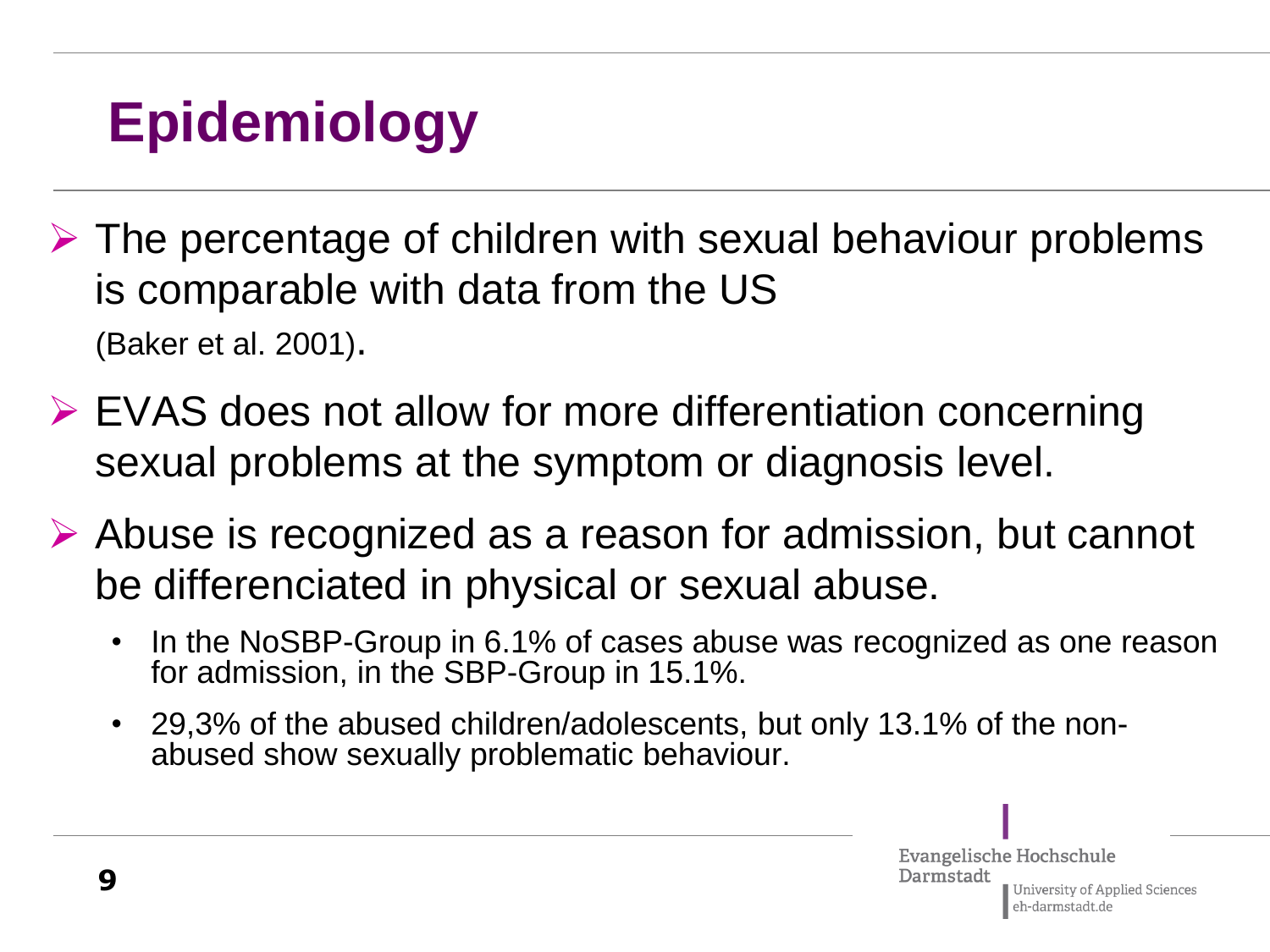### **Epidemiology**

- $\triangleright$  The percentage of children with sexual behaviour problems is comparable with data from the US (Baker et al. 2001).
- EVAS does not allow for more differentiation concerning sexual problems at the symptom or diagnosis level.
- Abuse is recognized as a reason for admission, but cannot be differenciated in physical or sexual abuse.
	- In the NoSBP-Group in 6.1% of cases abuse was recognized as one reason for admission, in the SBP-Group in 15.1%.
	- 29,3% of the abused children/adolescents, but only 13.1% of the nonabused show sexually problematic behaviour.

Evangelische Hochschule Darmstadt University of Applied Sciences eh-darmstadt.de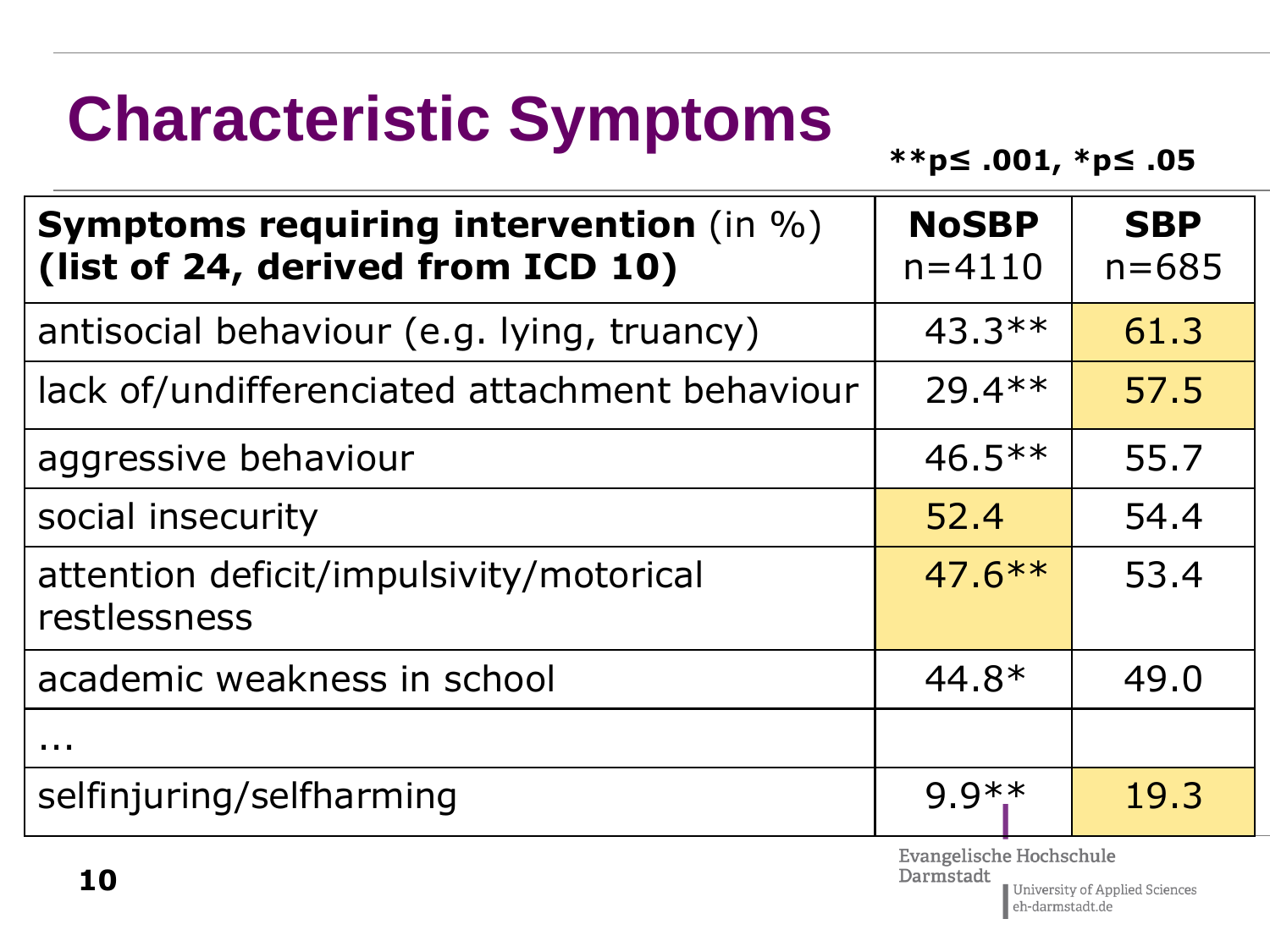# **Characteristic Symptoms**

**\*\*p≤ .001, \*p≤ .05**

| <b>Symptoms requiring intervention (in %)</b><br>(list of 24, derived from ICD 10) | <b>NoSBP</b><br>$n = 4110$ | <b>SBP</b><br>$n = 685$ |
|------------------------------------------------------------------------------------|----------------------------|-------------------------|
| antisocial behaviour (e.g. lying, truancy)                                         | $43.3**$                   | 61.3                    |
| lack of/undifferenciated attachment behaviour                                      | $29.4**$                   | 57.5                    |
| aggressive behaviour                                                               | $46.5***$                  | 55.7                    |
| social insecurity                                                                  | 52.4                       | 54.4                    |
| attention deficit/impulsivity/motorical<br>restlessness                            | $47.6***$                  | 53.4                    |
| academic weakness in school                                                        | $44.8*$                    | 49.0                    |
| .                                                                                  |                            |                         |
| selfinjuring/selfharming                                                           | $9.9**$                    | 19.3                    |
|                                                                                    | Evangelische Hochschule    |                         |

eh-darmstadt.de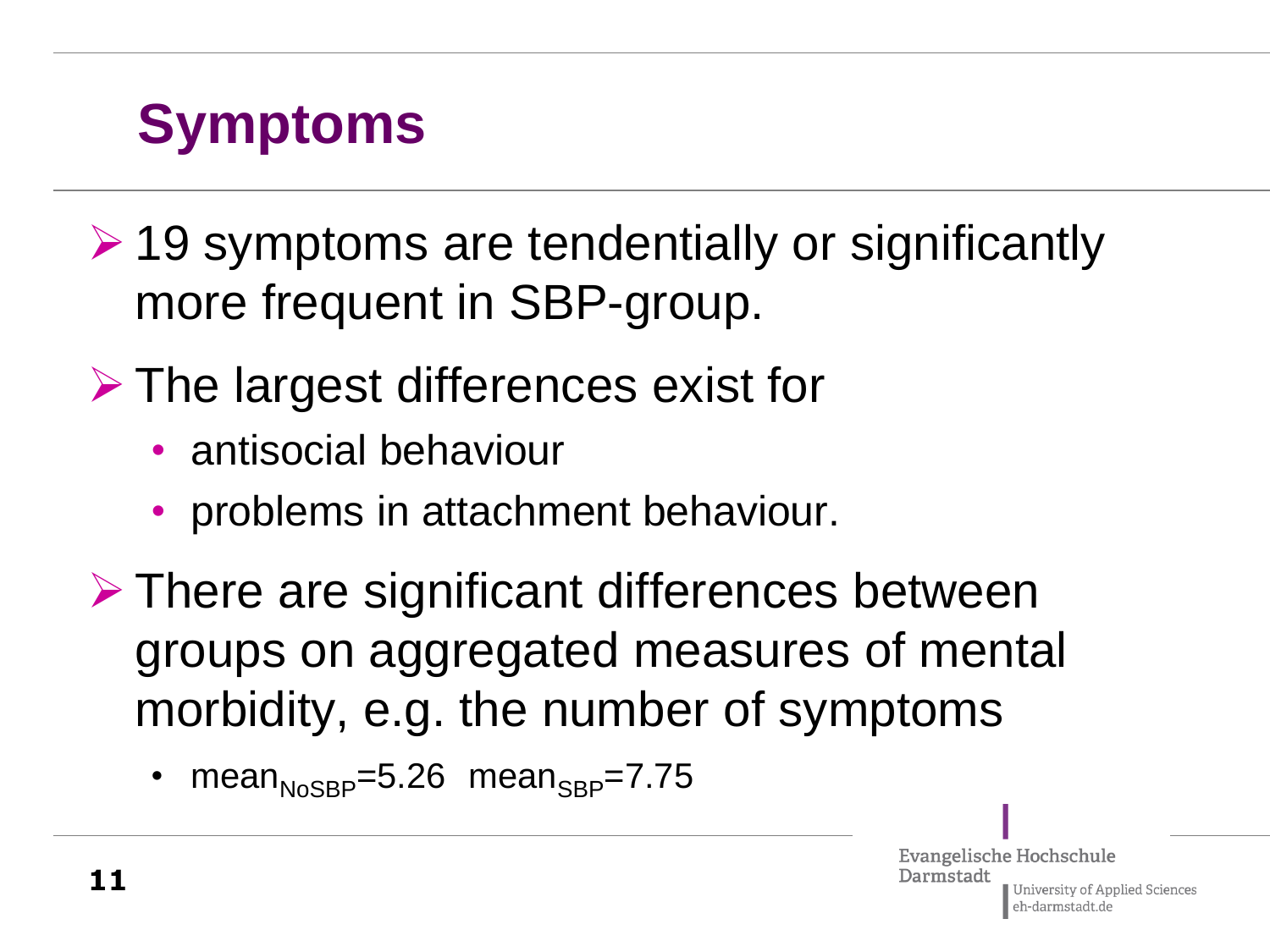### **Symptoms**

- $\geq$  19 symptoms are tendentially or significantly more frequent in SBP-group.
- $\triangleright$  The largest differences exist for
	- antisocial behaviour
	- problems in attachment behaviour.
- $\triangleright$  There are significant differences between groups on aggregated measures of mental morbidity, e.g. the number of symptoms
	- mean $_{N_0SBP}$ =5.26 mean $_{SBP}$ =7.75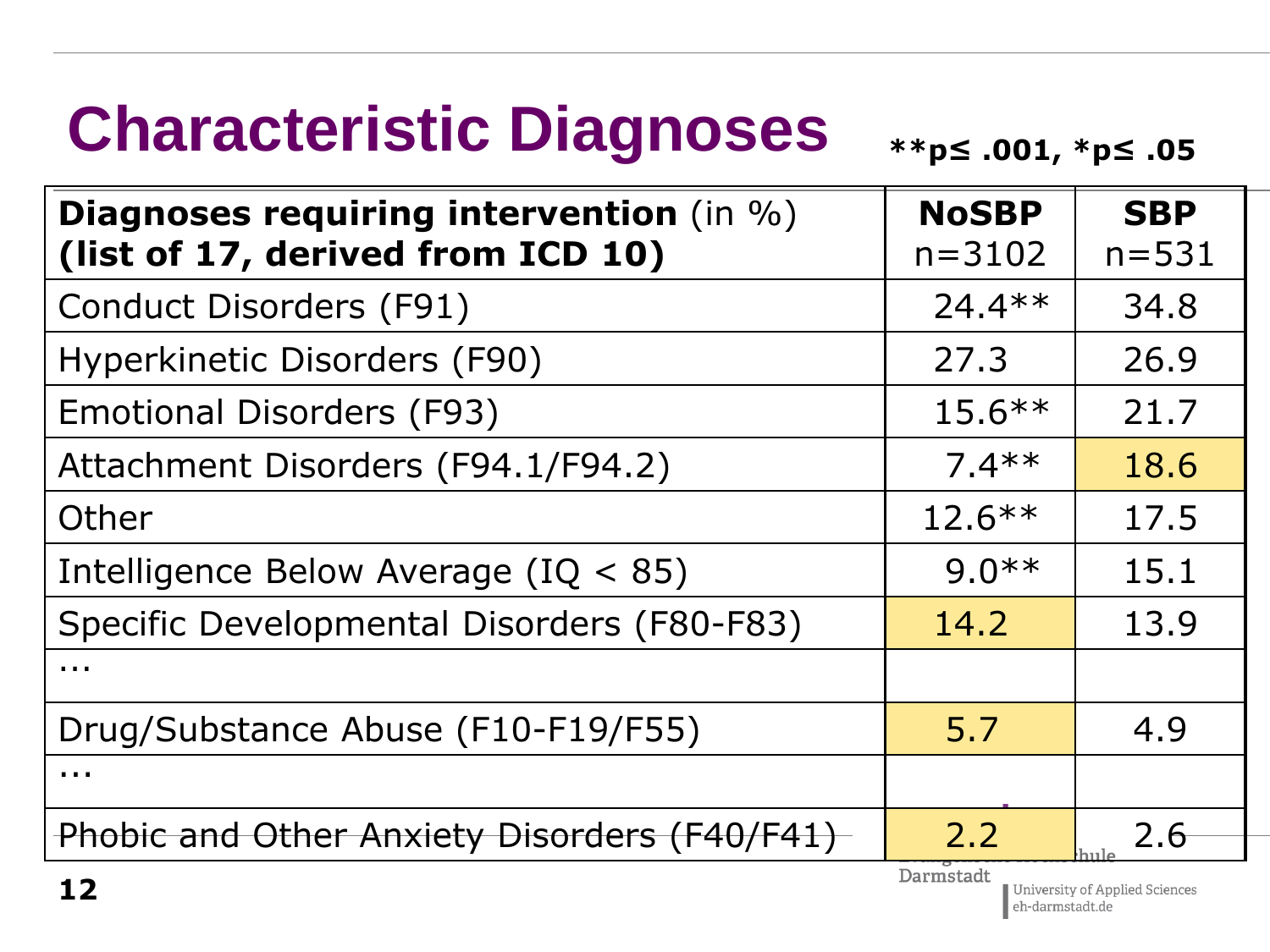# **Characteristic Diagnoses**

**\*\*p≤ .001, \*p≤ .05**

| <b>Diagnoses requiring intervention</b> (in %)<br>(list of 17, derived from ICD 10) | <b>NoSBP</b><br>$n = 3102$ | <b>SBP</b><br>$n = 531$ |
|-------------------------------------------------------------------------------------|----------------------------|-------------------------|
| Conduct Disorders (F91)                                                             | $24.4**$                   | 34.8                    |
| Hyperkinetic Disorders (F90)                                                        | 27.3                       | 26.9                    |
| <b>Emotional Disorders (F93)</b>                                                    | $15.6***$                  | 21.7                    |
| Attachment Disorders (F94.1/F94.2)                                                  | $7.4**$                    | 18.6                    |
| Other                                                                               | $12.6***$                  | 17.5                    |
| Intelligence Below Average ( $IQ < 85$ )                                            | $9.0**$                    | 15.1                    |
| Specific Developmental Disorders (F80-F83)                                          | 14.2                       | 13.9                    |
| $\cdots$                                                                            |                            |                         |
| Drug/Substance Abuse (F10-F19/F55)                                                  | 5.7                        | 4.9                     |
| $\blacksquare$                                                                      |                            |                         |
| Phobic and Other Anxiety Disorders (F40/F41)                                        | 2.2                        | 2.6                     |
|                                                                                     | Darmstadt                  |                         |

University of Applied Sciences eh-darmstadt.de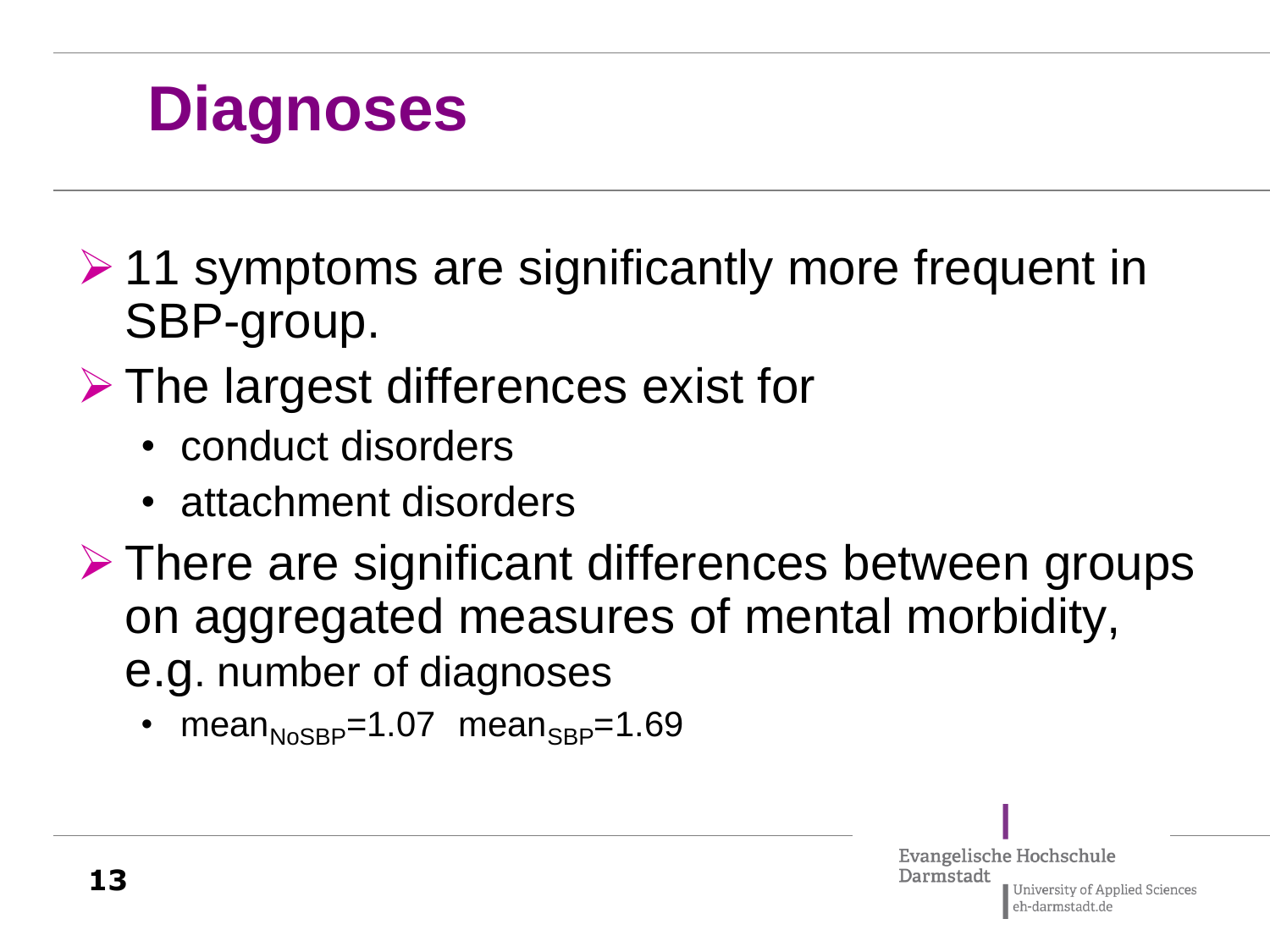### **Diagnoses**

- $\geq 11$  symptoms are significantly more frequent in SBP-group.
- **► The largest differences exist for** 
	- conduct disorders
	- attachment disorders
- $\triangleright$  There are significant differences between groups on aggregated measures of mental morbidity, e.g. number of diagnoses

mean<sub>NoSBP</sub>=1.07 mean<sub>SBP</sub>=1.69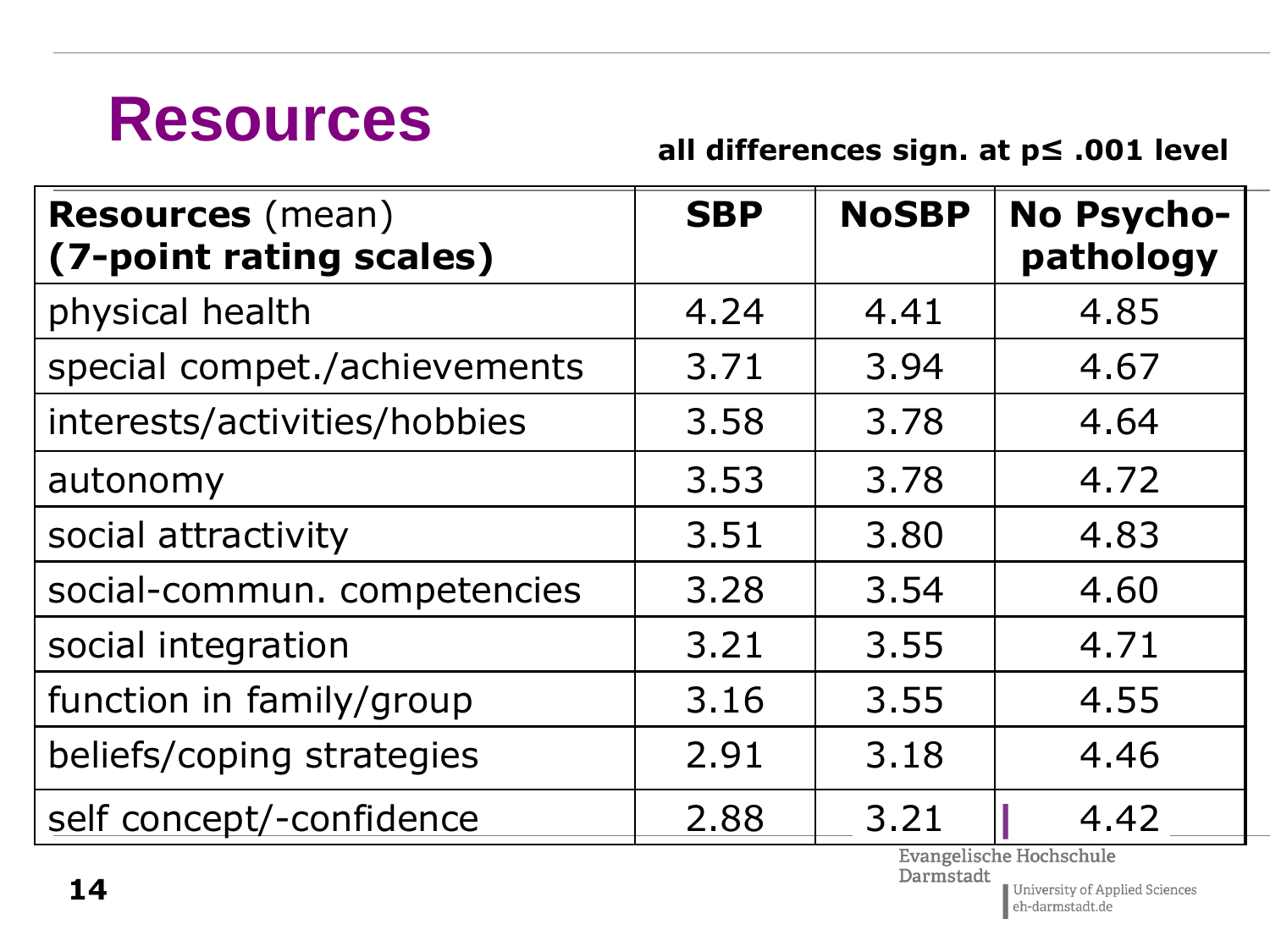### **Resources**

**all differences sign. at p≤ .001 level**

| <b>Resources</b> (mean)<br>(7-point rating scales) | <b>SBP</b> | <b>NoSBP</b> | No Psycho-<br>pathology |
|----------------------------------------------------|------------|--------------|-------------------------|
| physical health                                    | 4.24       | 4.41         | 4.85                    |
| special compet./achievements                       | 3.71       | 3.94         | 4.67                    |
| interests/activities/hobbies                       | 3.58       | 3.78         | 4.64                    |
| autonomy                                           | 3.53       | 3.78         | 4.72                    |
| social attractivity                                | 3.51       | 3.80         | 4.83                    |
| social-commun. competencies                        | 3.28       | 3.54         | 4.60                    |
| social integration                                 | 3.21       | 3.55         | 4.71                    |
| function in family/group                           | 3.16       | 3.55         | 4.55                    |
| beliefs/coping strategies                          | 2.91       | 3.18         | 4.46                    |
| self concept/-confidence                           | 2.88       | 3.21         | 4.42                    |

Evangelische Hochschule<br>Darmstadt

 $\label{thm:1} \begin{array}{|l|} \hline \text{University of Applied Sciences} \\ \hline \text{eh-darmstadt.de} \end{array}$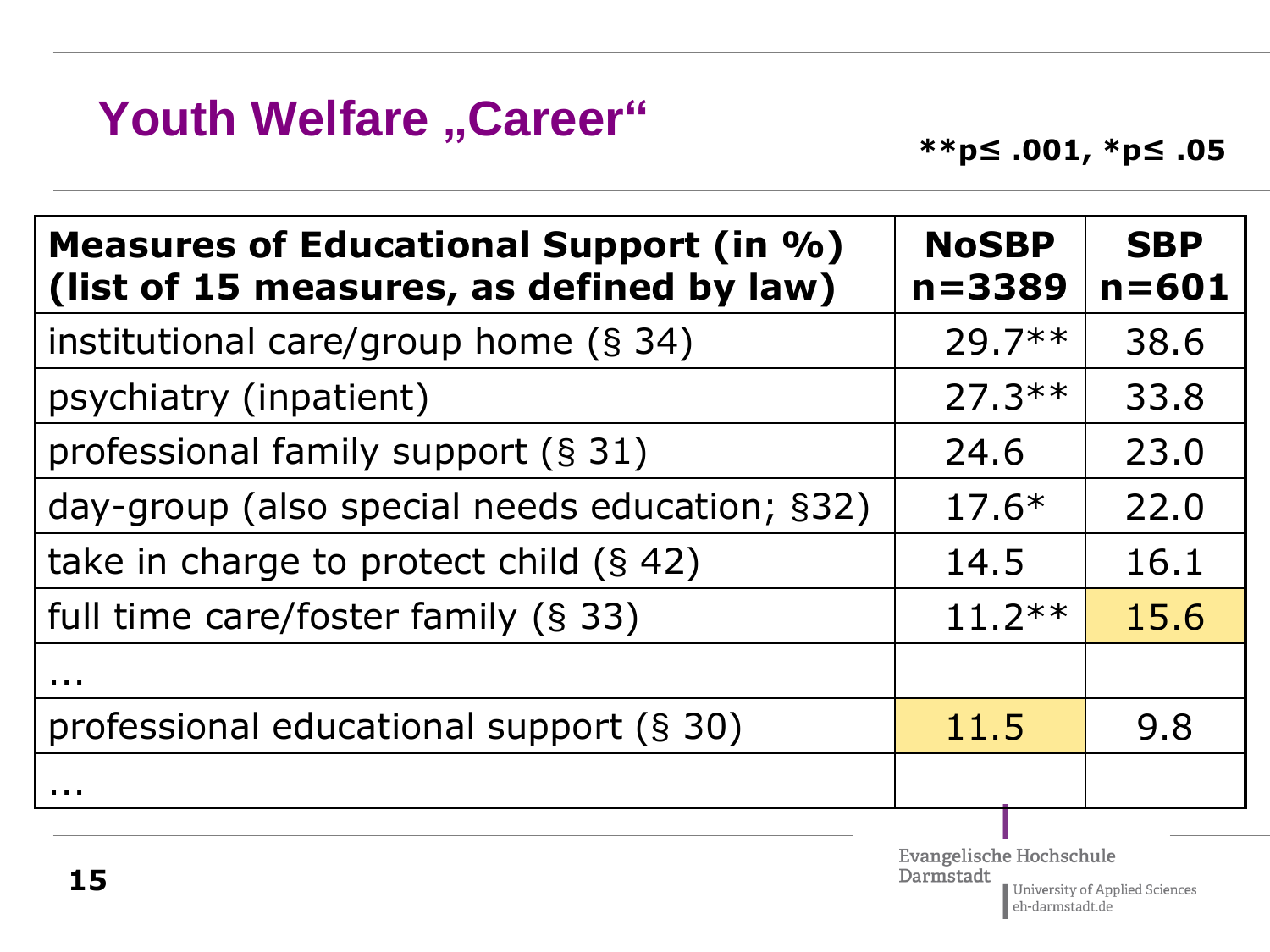#### **Youth Welfare "Career"**

| Measures of Educational Support (in %)<br>(list of 15 measures, as defined by law) | <b>NoSBP</b><br>$n = 3389$ | <b>SBP</b><br>$n = 601$ |
|------------------------------------------------------------------------------------|----------------------------|-------------------------|
| institutional care/group home $(\S 34)$                                            | $29.7**$                   | 38.6                    |
| psychiatry (inpatient)                                                             | $27.3***$                  | 33.8                    |
| professional family support (§ 31)                                                 | 24.6                       | 23.0                    |
| day-group (also special needs education; §32)                                      | $17.6*$                    | 22.0                    |
| take in charge to protect child $(\S 42)$                                          | 14.5                       | 16.1                    |
| full time care/foster family (§ 33)                                                | $11.2***$                  | 15.6                    |
| .                                                                                  |                            |                         |
| professional educational support (§ 30)                                            | 11.5                       | 9.8                     |
|                                                                                    |                            |                         |
|                                                                                    | Evangelische Hochschule    |                         |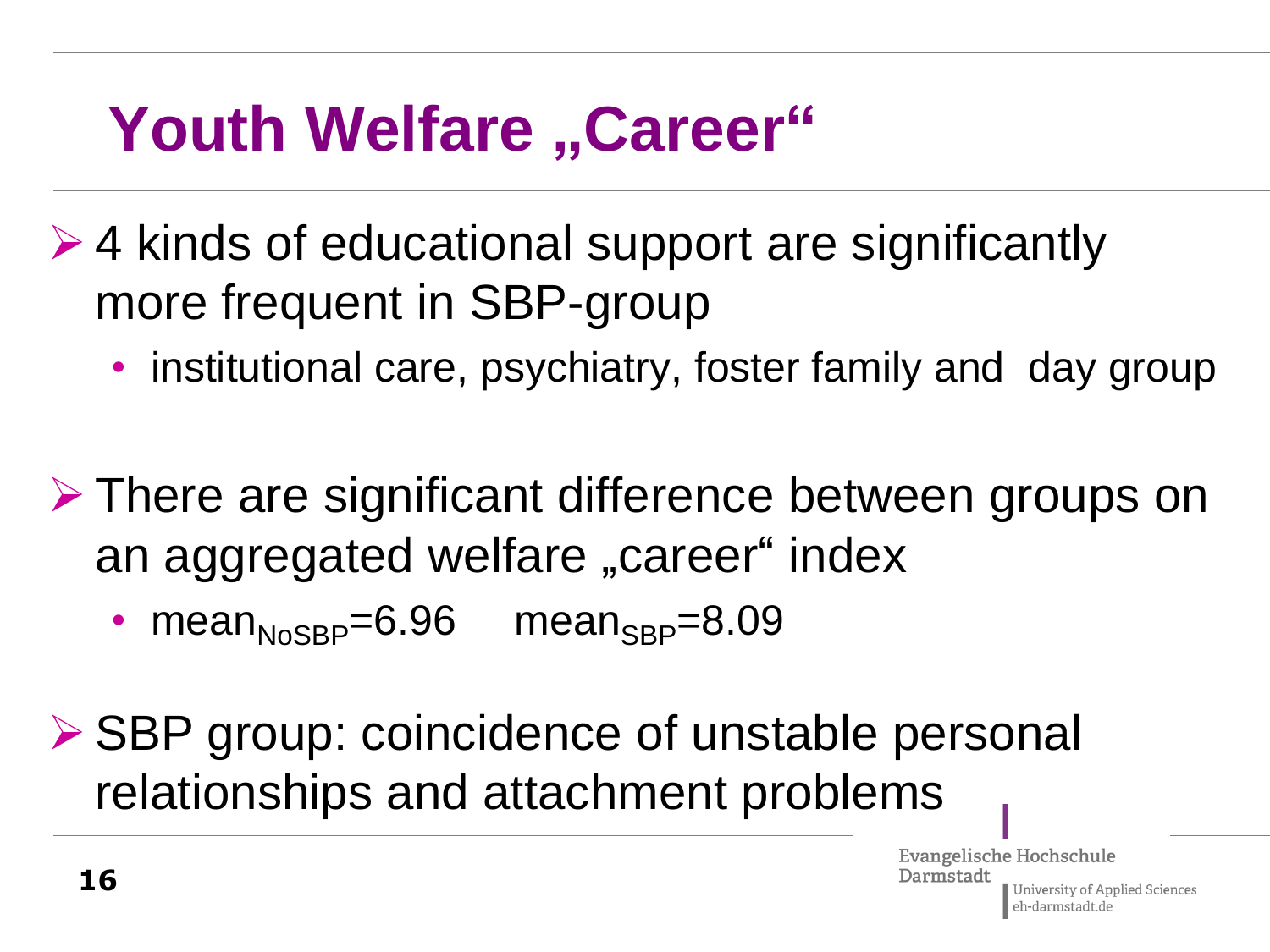## **Youth Welfare** "Career"

- $\geq 4$  kinds of educational support are significantly more frequent in SBP-group
	- institutional care, psychiatry, foster family and day group
- **≻ There are significant difference between groups on** an aggregated welfare "career" index
	- $mean<sub>NosBP</sub>=6.96$  mean<sub>SBP</sub>=8.09

**≻ SBP group: coincidence of unstable personal** relationships and attachment problems